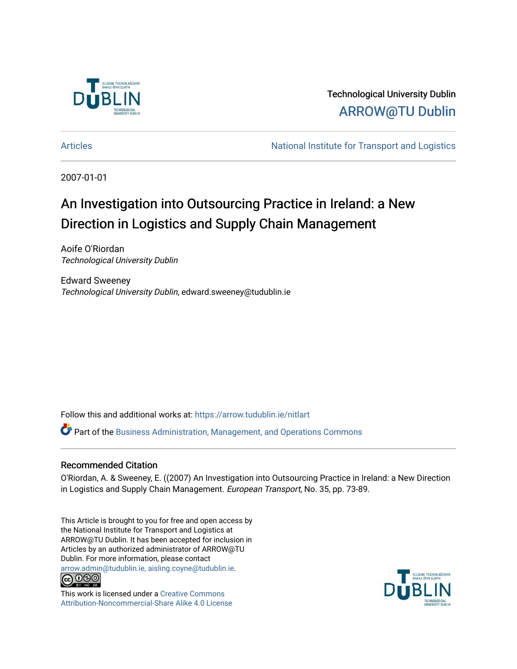

Technological University Dublin [ARROW@TU Dublin](https://arrow.tudublin.ie/) 

[Articles](https://arrow.tudublin.ie/nitlart) **National Institute for Transport and Logistics** Articles

2007-01-01

# An Investigation into Outsourcing Practice in Ireland: a New Direction in Logistics and Supply Chain Management

Aoife O'Riordan Technological University Dublin

Edward Sweeney Technological University Dublin, edward.sweeney@tudublin.ie

Follow this and additional works at: [https://arrow.tudublin.ie/nitlart](https://arrow.tudublin.ie/nitlart?utm_source=arrow.tudublin.ie%2Fnitlart%2F5&utm_medium=PDF&utm_campaign=PDFCoverPages) 

Part of the [Business Administration, Management, and Operations Commons](http://network.bepress.com/hgg/discipline/623?utm_source=arrow.tudublin.ie%2Fnitlart%2F5&utm_medium=PDF&utm_campaign=PDFCoverPages)

# Recommended Citation

O'Riordan, A. & Sweeney, E. ((2007) An Investigation into Outsourcing Practice in Ireland: a New Direction in Logistics and Supply Chain Management. European Transport, No. 35, pp. 73-89.

This Article is brought to you for free and open access by the National Institute for Transport and Logistics at ARROW@TU Dublin. It has been accepted for inclusion in Articles by an authorized administrator of ARROW@TU Dublin. For more information, please contact [arrow.admin@tudublin.ie, aisling.coyne@tudublin.ie](mailto:arrow.admin@tudublin.ie,%20aisling.coyne@tudublin.ie).<br>
co 000



This work is licensed under a [Creative Commons](http://creativecommons.org/licenses/by-nc-sa/4.0/) [Attribution-Noncommercial-Share Alike 4.0 License](http://creativecommons.org/licenses/by-nc-sa/4.0/)

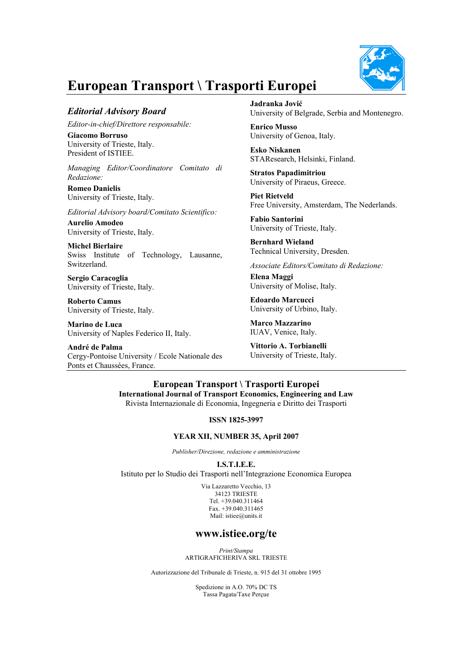

# **European Transport \ Trasporti Europei**

## *Editorial Advisory Board*

*Editor-in-chief/Direttore responsabile:* 

**Giacomo Borruso**  University of Trieste, Italy. President of ISTIEE.

*Managing Editor/Coordinatore Comitato di Redazione:* 

**Romeo Danielis** University of Trieste, Italy.

*Editorial Advisory board/Comitato Scientifico:* 

**Aurelio Amodeo**  University of Trieste, Italy.

**Michel Bierlaire**  Swiss Institute of Technology, Lausanne, Switzerland.

**Sergio Caracoglia**  University of Trieste, Italy.

**Roberto Camus** University of Trieste, Italy.

**Marino de Luca** University of Naples Federico II, Italy.

**André de Palma** Cergy-Pontoise University / Ecole Nationale des Ponts et Chaussées, France.

**Jadranka Jović** University of Belgrade, Serbia and Montenegro.

**Enrico Musso** University of Genoa, Italy.

**Esko Niskanen** STAResearch, Helsinki, Finland.

**Stratos Papadimitriou** University of Piraeus, Greece.

**Piet Rietveld** Free University, Amsterdam, The Nederlands.

**Fabio Santorini**  University of Trieste, Italy.

**Bernhard Wieland** Technical University, Dresden.

*Associate Editors/Comitato di Redazione:* 

**Elena Maggi**  University of Molise, Italy.

**Edoardo Marcucci**  University of Urbino, Italy.

**Marco Mazzarino**  IUAV, Venice, Italy.

**Vittorio A. Torbianelli**  University of Trieste, Italy.

**European Transport \ Trasporti Europei International Journal of Transport Economics, Engineering and Law**  Rivista Internazionale di Economia, Ingegneria e Diritto dei Trasporti

**ISSN 1825-3997** 

#### **YEAR XII, NUMBER 35, April 2007**

*Publisher/Direzione, redazione e amministrazione* 

**I.S.T.I.E.E.** 

Istituto per lo Studio dei Trasporti nell'Integrazione Economica Europea

Via Lazzaretto Vecchio, 13 34123 TRIESTE Tel. +39.040.311464 Fax. +39.040.311465 Mail: istiee@units.it

# **www.istiee.org/te**

*Print/Stampa*  ARTIGRAFICHERIVA SRL TRIESTE

Autorizzazione del Tribunale di Trieste, n. 915 del 31 ottobre 1995

Spedizione in A.O. 70% DC TS Tassa Pagata/Taxe Perçue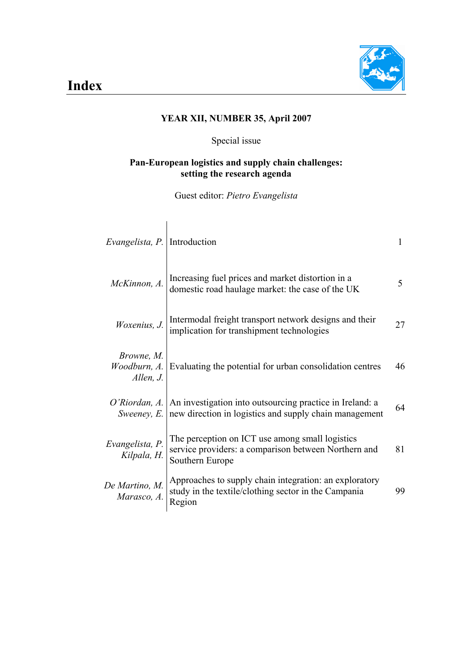

# **YEAR XII, NUMBER 35, April 2007**

# Special issue

# **Pan-European logistics and supply chain challenges: setting the research agenda**

Guest editor: *Pietro Evangelista*

 $\overline{1}$ 

| <i>Evangelista, P.</i> Introduction     |                                                                                                                            |    |
|-----------------------------------------|----------------------------------------------------------------------------------------------------------------------------|----|
| McKinnon, A.                            | Increasing fuel prices and market distortion in a<br>domestic road haulage market: the case of the UK                      | 5  |
| Woxenius, J.                            | Intermodal freight transport network designs and their<br>implication for transhipment technologies                        | 27 |
| Browne, M.<br>Woodburn, A.<br>Allen, J. | Evaluating the potential for urban consolidation centres                                                                   | 46 |
| O'Riordan, A.<br>Sweeney, E.            | An investigation into outsourcing practice in Ireland: a<br>new direction in logistics and supply chain management         | 64 |
| Evangelista, P.<br>Kilpala, H.          | The perception on ICT use among small logistics<br>service providers: a comparison between Northern and<br>Southern Europe | 81 |
| De Martino, M.<br>Marasco, A.           | Approaches to supply chain integration: an exploratory<br>study in the textile/clothing sector in the Campania<br>Region   | 99 |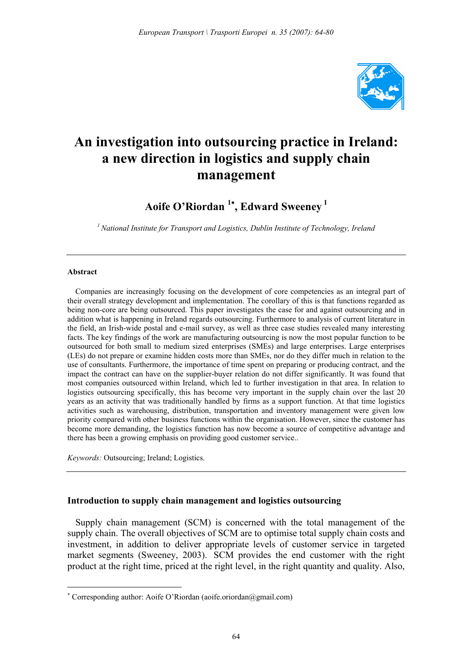

# **An investigation into outsourcing practice in Ireland: a new direction in logistics and supply chain management**

# **Aoife O'Riordan <sup>1</sup>**<sup>∗</sup> **, Edward Sweeney<sup>1</sup>**

*1 National Institute for Transport and Logistics, Dublin Institute of Technology, Ireland* 

#### **Abstract**

 $\overline{a}$ 

Companies are increasingly focusing on the development of core competencies as an integral part of their overall strategy development and implementation. The corollary of this is that functions regarded as being non-core are being outsourced. This paper investigates the case for and against outsourcing and in addition what is happening in Ireland regards outsourcing. Furthermore to analysis of current literature in the field, an Irish-wide postal and e-mail survey, as well as three case studies revealed many interesting facts. The key findings of the work are manufacturing outsourcing is now the most popular function to be outsourced for both small to medium sized enterprises (SMEs) and large enterprises. Large enterprises (LEs) do not prepare or examine hidden costs more than SMEs, nor do they differ much in relation to the use of consultants. Furthermore, the importance of time spent on preparing or producing contract, and the impact the contract can have on the supplier-buyer relation do not differ significantly. It was found that most companies outsourced within Ireland, which led to further investigation in that area. In relation to logistics outsourcing specifically, this has become very important in the supply chain over the last 20 years as an activity that was traditionally handled by firms as a support function. At that time logistics activities such as warehousing, distribution, transportation and inventory management were given low priority compared with other business functions within the organisation. However, since the customer has become more demanding, the logistics function has now become a source of competitive advantage and there has been a growing emphasis on providing good customer service..

*Keywords:* Outsourcing; Ireland; Logistics.

## **Introduction to supply chain management and logistics outsourcing**

Supply chain management (SCM) is concerned with the total management of the supply chain. The overall objectives of SCM are to optimise total supply chain costs and investment, in addition to deliver appropriate levels of customer service in targeted market segments (Sweeney, 2003). SCM provides the end customer with the right product at the right time, priced at the right level, in the right quantity and quality. Also,

<sup>∗</sup> Corresponding author: Aoife O'Riordan (aoife.oriordan@gmail.com)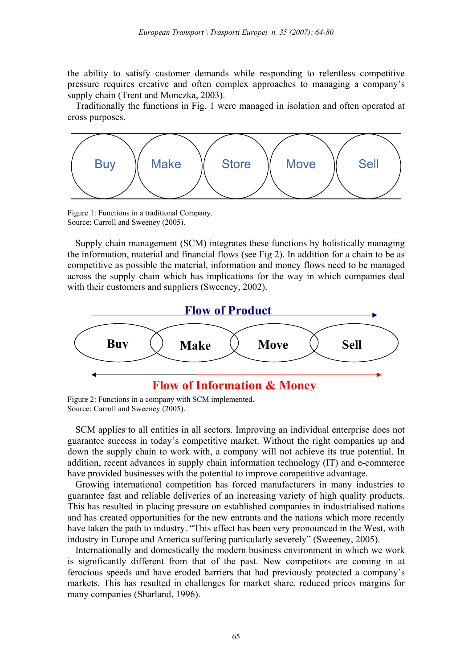the ability to satisfy customer demands while responding to relentless competitive pressure requires creative and often complex approaches to managing a company's supply chain (Trent and Monczka, 2003).

Traditionally the functions in Fig. 1 were managed in isolation and often operated at cross purposes.



Figure 1: Functions in a traditional Company. Source: Carroll and Sweeney (2005).

Supply chain management (SCM) integrates these functions by holistically managing the information, material and financial flows (see Fig 2). In addition for a chain to be as competitive as possible the material, information and money flows need to be managed across the supply chain which has implications for the way in which companies deal with their customers and suppliers (Sweeney, 2002).



Figure 2: Functions in a company with SCM implemented. Source: Carroll and Sweeney (2005).

SCM applies to all entities in all sectors. Improving an individual enterprise does not guarantee success in today's competitive market. Without the right companies up and down the supply chain to work with, a company will not achieve its true potential. In addition, recent advances in supply chain information technology (IT) and e-commerce have provided businesses with the potential to improve competitive advantage.

Growing international competition has forced manufacturers in many industries to guarantee fast and reliable deliveries of an increasing variety of high quality products. This has resulted in placing pressure on established companies in industrialised nations and has created opportunities for the new entrants and the nations which more recently have taken the path to industry. "This effect has been very pronounced in the West, with industry in Europe and America suffering particularly severely" (Sweeney, 2005).

Internationally and domestically the modern business environment in which we work is significantly different from that of the past. New competitors are coming in at ferocious speeds and have eroded barriers that had previously protected a company's markets. This has resulted in challenges for market share, reduced prices margins for many companies (Sharland, 1996).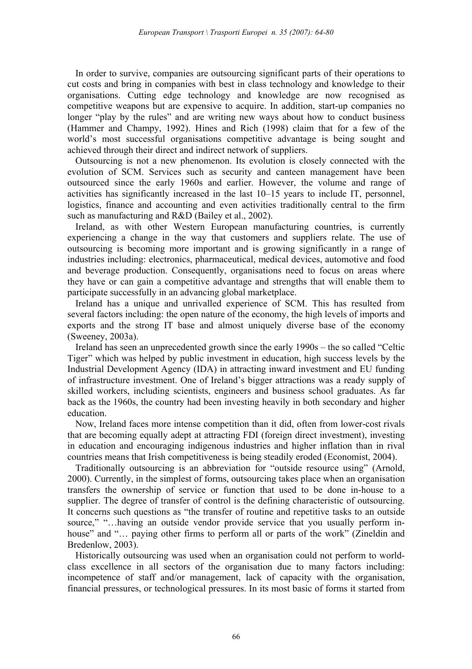In order to survive, companies are outsourcing significant parts of their operations to cut costs and bring in companies with best in class technology and knowledge to their organisations. Cutting edge technology and knowledge are now recognised as competitive weapons but are expensive to acquire. In addition, start-up companies no longer "play by the rules" and are writing new ways about how to conduct business (Hammer and Champy, 1992). Hines and Rich (1998) claim that for a few of the world's most successful organisations competitive advantage is being sought and achieved through their direct and indirect network of suppliers.

Outsourcing is not a new phenomenon. Its evolution is closely connected with the evolution of SCM. Services such as security and canteen management have been outsourced since the early 1960s and earlier. However, the volume and range of activities has significantly increased in the last 10–15 years to include IT, personnel, logistics, finance and accounting and even activities traditionally central to the firm such as manufacturing and R&D (Bailey et al., 2002).

Ireland, as with other Western European manufacturing countries, is currently experiencing a change in the way that customers and suppliers relate. The use of outsourcing is becoming more important and is growing significantly in a range of industries including: electronics, pharmaceutical, medical devices, automotive and food and beverage production. Consequently, organisations need to focus on areas where they have or can gain a competitive advantage and strengths that will enable them to participate successfully in an advancing global marketplace.

Ireland has a unique and unrivalled experience of SCM. This has resulted from several factors including: the open nature of the economy, the high levels of imports and exports and the strong IT base and almost uniquely diverse base of the economy (Sweeney, 2003a).

Ireland has seen an unprecedented growth since the early 1990s – the so called "Celtic Tiger" which was helped by public investment in education, high success levels by the Industrial Development Agency (IDA) in attracting inward investment and EU funding of infrastructure investment. One of Ireland's bigger attractions was a ready supply of skilled workers, including scientists, engineers and business school graduates. As far back as the 1960s, the country had been investing heavily in both secondary and higher education.

Now, Ireland faces more intense competition than it did, often from lower-cost rivals that are becoming equally adept at attracting FDI (foreign direct investment), investing in education and encouraging indigenous industries and higher inflation than in rival countries means that Irish competitiveness is being steadily eroded (Economist, 2004).

Traditionally outsourcing is an abbreviation for "outside resource using" (Arnold, 2000). Currently, in the simplest of forms, outsourcing takes place when an organisation transfers the ownership of service or function that used to be done in-house to a supplier. The degree of transfer of control is the defining characteristic of outsourcing. It concerns such questions as "the transfer of routine and repetitive tasks to an outside source," "...having an outside vendor provide service that you usually perform inhouse" and "... paying other firms to perform all or parts of the work" (Zineldin and Bredenlow, 2003).

Historically outsourcing was used when an organisation could not perform to worldclass excellence in all sectors of the organisation due to many factors including: incompetence of staff and/or management, lack of capacity with the organisation, financial pressures, or technological pressures. In its most basic of forms it started from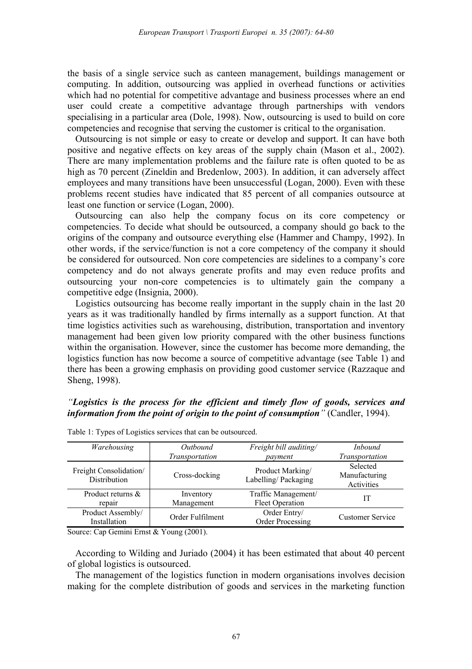the basis of a single service such as canteen management, buildings management or computing. In addition, outsourcing was applied in overhead functions or activities which had no potential for competitive advantage and business processes where an end user could create a competitive advantage through partnerships with vendors specialising in a particular area (Dole, 1998). Now, outsourcing is used to build on core competencies and recognise that serving the customer is critical to the organisation.

Outsourcing is not simple or easy to create or develop and support. It can have both positive and negative effects on key areas of the supply chain (Mason et al., 2002). There are many implementation problems and the failure rate is often quoted to be as high as 70 percent (Zineldin and Bredenlow, 2003). In addition, it can adversely affect employees and many transitions have been unsuccessful (Logan, 2000). Even with these problems recent studies have indicated that 85 percent of all companies outsource at least one function or service (Logan, 2000).

Outsourcing can also help the company focus on its core competency or competencies. To decide what should be outsourced, a company should go back to the origins of the company and outsource everything else (Hammer and Champy, 1992). In other words, if the service/function is not a core competency of the company it should be considered for outsourced. Non core competencies are sidelines to a company's core competency and do not always generate profits and may even reduce profits and outsourcing your non-core competencies is to ultimately gain the company a competitive edge (Insignia, 2000).

Logistics outsourcing has become really important in the supply chain in the last 20 years as it was traditionally handled by firms internally as a support function. At that time logistics activities such as warehousing, distribution, transportation and inventory management had been given low priority compared with the other business functions within the organisation. However, since the customer has become more demanding, the logistics function has now become a source of competitive advantage (see Table 1) and there has been a growing emphasis on providing good customer service (Razzaque and Sheng, 1998).

# *"Logistics is the process for the efficient and timely flow of goods, services and information from the point of origin to the point of consumption"* (Candler, 1994).

| Warehousing                            | Outbound         | Freight bill auditing/                  | <i>Inbound</i>                          |
|----------------------------------------|------------------|-----------------------------------------|-----------------------------------------|
|                                        | Transportation   | payment                                 | Transportation                          |
| Freight Consolidation/<br>Distribution | Cross-docking    | Product Marking/<br>Labelling/Packaging | Selected<br>Manufacturing<br>Activities |
| Product returns &                      | Inventory        | Traffic Management/                     | П                                       |
| repair                                 | Management       | <b>Fleet Operation</b>                  |                                         |
| Product Assembly/<br>Installation      | Order Fulfilment | Order Entry/<br>Order Processing        | <b>Customer Service</b>                 |

Table 1: Types of Logistics services that can be outsourced.

Source: Cap Gemini Ernst & Young (2001).

According to Wilding and Juriado (2004) it has been estimated that about 40 percent of global logistics is outsourced.

The management of the logistics function in modern organisations involves decision making for the complete distribution of goods and services in the marketing function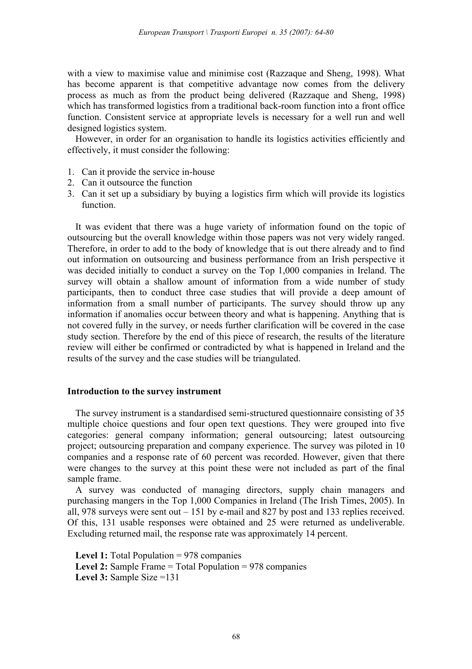with a view to maximise value and minimise cost (Razzaque and Sheng, 1998). What has become apparent is that competitive advantage now comes from the delivery process as much as from the product being delivered (Razzaque and Sheng, 1998) which has transformed logistics from a traditional back-room function into a front office function. Consistent service at appropriate levels is necessary for a well run and well designed logistics system.

However, in order for an organisation to handle its logistics activities efficiently and effectively, it must consider the following:

- 1. Can it provide the service in-house
- 2. Can it outsource the function
- 3. Can it set up a subsidiary by buying a logistics firm which will provide its logistics function.

It was evident that there was a huge variety of information found on the topic of outsourcing but the overall knowledge within those papers was not very widely ranged. Therefore, in order to add to the body of knowledge that is out there already and to find out information on outsourcing and business performance from an Irish perspective it was decided initially to conduct a survey on the Top 1,000 companies in Ireland. The survey will obtain a shallow amount of information from a wide number of study participants, then to conduct three case studies that will provide a deep amount of information from a small number of participants. The survey should throw up any information if anomalies occur between theory and what is happening. Anything that is not covered fully in the survey, or needs further clarification will be covered in the case study section. Therefore by the end of this piece of research, the results of the literature review will either be confirmed or contradicted by what is happened in Ireland and the results of the survey and the case studies will be triangulated.

## **Introduction to the survey instrument**

The survey instrument is a standardised semi-structured questionnaire consisting of 35 multiple choice questions and four open text questions. They were grouped into five categories: general company information; general outsourcing; latest outsourcing project; outsourcing preparation and company experience. The survey was piloted in 10 companies and a response rate of 60 percent was recorded. However, given that there were changes to the survey at this point these were not included as part of the final sample frame.

A survey was conducted of managing directors, supply chain managers and purchasing mangers in the Top 1,000 Companies in Ireland (The Irish Times, 2005). In all, 978 surveys were sent out – 151 by e-mail and 827 by post and 133 replies received. Of this, 131 usable responses were obtained and 25 were returned as undeliverable. Excluding returned mail, the response rate was approximately 14 percent.

**Level 1:** Total Population = 978 companies **Level 2:** Sample Frame = Total Population = 978 companies **Level 3:** Sample Size =131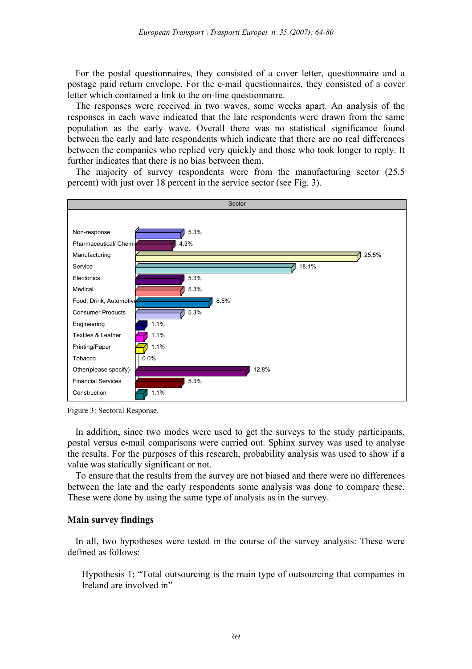For the postal questionnaires, they consisted of a cover letter, questionnaire and a postage paid return envelope. For the e-mail questionnaires, they consisted of a cover letter which contained a link to the on-line questionnaire.

The responses were received in two waves, some weeks apart. An analysis of the responses in each wave indicated that the late respondents were drawn from the same population as the early wave. Overall there was no statistical significance found between the early and late respondents which indicate that there are no real differences between the companies who replied very quickly and those who took longer to reply. It further indicates that there is no bias between them.

The majority of survey respondents were from the manufacturing sector (25.5 percent) with just over 18 percent in the service sector (see Fig. 3).



Figure 3: Sectoral Response.

In addition, since two modes were used to get the surveys to the study participants, postal versus e-mail comparisons were carried out. Sphinx survey was used to analyse the results. For the purposes of this research, probability analysis was used to show if a value was statically significant or not.

To ensure that the results from the survey are not biased and there were no differences between the late and the early respondents some analysis was done to compare these. These were done by using the same type of analysis as in the survey.

# **Main survey findings**

In all, two hypotheses were tested in the course of the survey analysis: These were defined as follows:

Hypothesis 1: "Total outsourcing is the main type of outsourcing that companies in Ireland are involved in"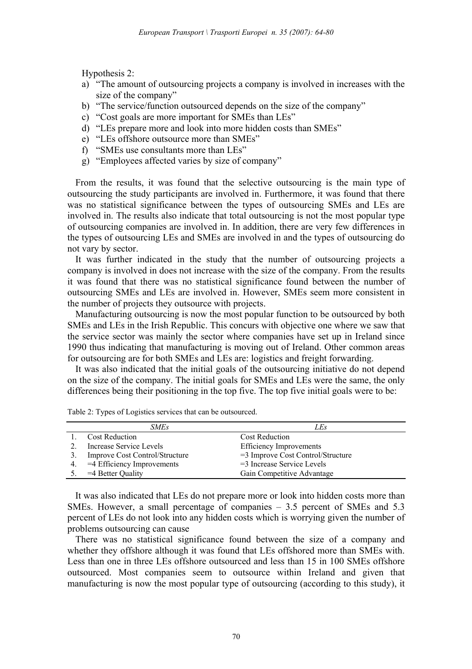Hypothesis 2:

- a) "The amount of outsourcing projects a company is involved in increases with the size of the company"
- b) "The service/function outsourced depends on the size of the company"
- c) "Cost goals are more important for SMEs than LEs"
- d) "LEs prepare more and look into more hidden costs than SMEs"
- e) "LEs offshore outsource more than SMEs"
- f) "SMEs use consultants more than LEs"
- g) "Employees affected varies by size of company"

From the results, it was found that the selective outsourcing is the main type of outsourcing the study participants are involved in. Furthermore, it was found that there was no statistical significance between the types of outsourcing SMEs and LEs are involved in. The results also indicate that total outsourcing is not the most popular type of outsourcing companies are involved in. In addition, there are very few differences in the types of outsourcing LEs and SMEs are involved in and the types of outsourcing do not vary by sector.

It was further indicated in the study that the number of outsourcing projects a company is involved in does not increase with the size of the company. From the results it was found that there was no statistical significance found between the number of outsourcing SMEs and LEs are involved in. However, SMEs seem more consistent in the number of projects they outsource with projects.

Manufacturing outsourcing is now the most popular function to be outsourced by both SMEs and LEs in the Irish Republic. This concurs with objective one where we saw that the service sector was mainly the sector where companies have set up in Ireland since 1990 thus indicating that manufacturing is moving out of Ireland. Other common areas for outsourcing are for both SMEs and LEs are: logistics and freight forwarding.

It was also indicated that the initial goals of the outsourcing initiative do not depend on the size of the company. The initial goals for SMEs and LEs were the same, the only differences being their positioning in the top five. The top five initial goals were to be:

|    | SMEs                           | LEs                                  |
|----|--------------------------------|--------------------------------------|
|    | <b>Cost Reduction</b>          | <b>Cost Reduction</b>                |
|    | Increase Service Levels        | <b>Efficiency Improvements</b>       |
|    | Improve Cost Control/Structure | $=$ 3 Improve Cost Control/Structure |
| 4. | =4 Efficiency Improvements     | $=$ 3 Increase Service Levels        |
|    | $=4$ Better Quality            | Gain Competitive Advantage           |

Table 2: Types of Logistics services that can be outsourced.

It was also indicated that LEs do not prepare more or look into hidden costs more than SMEs. However, a small percentage of companies – 3.5 percent of SMEs and 5.3 percent of LEs do not look into any hidden costs which is worrying given the number of problems outsourcing can cause

There was no statistical significance found between the size of a company and whether they offshore although it was found that LEs offshored more than SMEs with. Less than one in three LEs offshore outsourced and less than 15 in 100 SMEs offshore outsourced. Most companies seem to outsource within Ireland and given that manufacturing is now the most popular type of outsourcing (according to this study), it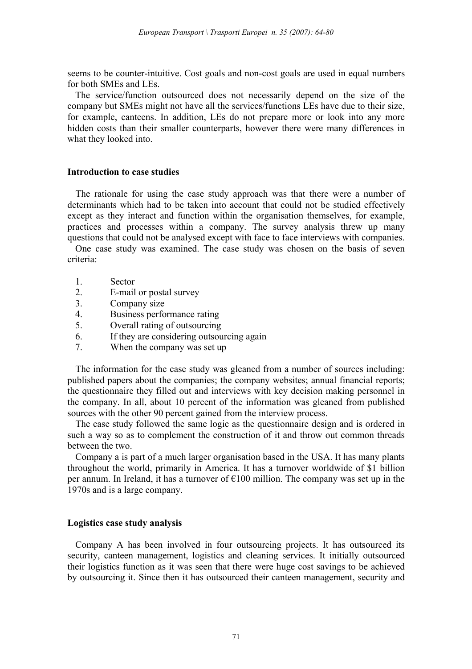seems to be counter-intuitive. Cost goals and non-cost goals are used in equal numbers for both SMEs and LEs.

The service/function outsourced does not necessarily depend on the size of the company but SMEs might not have all the services/functions LEs have due to their size, for example, canteens. In addition, LEs do not prepare more or look into any more hidden costs than their smaller counterparts, however there were many differences in what they looked into.

## **Introduction to case studies**

The rationale for using the case study approach was that there were a number of determinants which had to be taken into account that could not be studied effectively except as they interact and function within the organisation themselves, for example, practices and processes within a company. The survey analysis threw up many questions that could not be analysed except with face to face interviews with companies.

One case study was examined. The case study was chosen on the basis of seven criteria:

- 1. Sector
- 2. E-mail or postal survey
- 3. Company size
- 4. Business performance rating
- 5. Overall rating of outsourcing
- 6. If they are considering outsourcing again
- 7. When the company was set up

The information for the case study was gleaned from a number of sources including: published papers about the companies; the company websites; annual financial reports; the questionnaire they filled out and interviews with key decision making personnel in the company. In all, about 10 percent of the information was gleaned from published sources with the other 90 percent gained from the interview process.

The case study followed the same logic as the questionnaire design and is ordered in such a way so as to complement the construction of it and throw out common threads between the two.

Company a is part of a much larger organisation based in the USA. It has many plants throughout the world, primarily in America. It has a turnover worldwide of \$1 billion per annum. In Ireland, it has a turnover of  $\epsilon$ 100 million. The company was set up in the 1970s and is a large company.

## **Logistics case study analysis**

Company A has been involved in four outsourcing projects. It has outsourced its security, canteen management, logistics and cleaning services. It initially outsourced their logistics function as it was seen that there were huge cost savings to be achieved by outsourcing it. Since then it has outsourced their canteen management, security and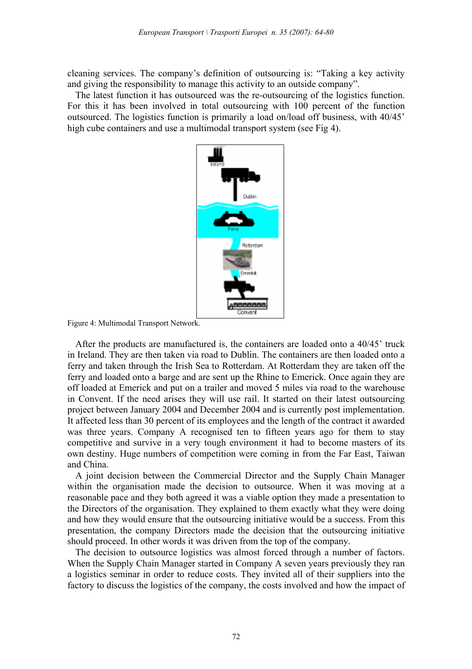cleaning services. The company's definition of outsourcing is: "Taking a key activity and giving the responsibility to manage this activity to an outside company".

The latest function it has outsourced was the re-outsourcing of the logistics function. For this it has been involved in total outsourcing with 100 percent of the function outsourced. The logistics function is primarily a load on/load off business, with 40/45' high cube containers and use a multimodal transport system (see Fig 4).



Figure 4: Multimodal Transport Network.

After the products are manufactured is, the containers are loaded onto a 40/45' truck in Ireland. They are then taken via road to Dublin. The containers are then loaded onto a ferry and taken through the Irish Sea to Rotterdam. At Rotterdam they are taken off the ferry and loaded onto a barge and are sent up the Rhine to Emerick. Once again they are off loaded at Emerick and put on a trailer and moved 5 miles via road to the warehouse in Convent. If the need arises they will use rail. It started on their latest outsourcing project between January 2004 and December 2004 and is currently post implementation. It affected less than 30 percent of its employees and the length of the contract it awarded was three years. Company A recognised ten to fifteen years ago for them to stay competitive and survive in a very tough environment it had to become masters of its own destiny. Huge numbers of competition were coming in from the Far East, Taiwan and China.

A joint decision between the Commercial Director and the Supply Chain Manager within the organisation made the decision to outsource. When it was moving at a reasonable pace and they both agreed it was a viable option they made a presentation to the Directors of the organisation. They explained to them exactly what they were doing and how they would ensure that the outsourcing initiative would be a success. From this presentation, the company Directors made the decision that the outsourcing initiative should proceed. In other words it was driven from the top of the company.

The decision to outsource logistics was almost forced through a number of factors. When the Supply Chain Manager started in Company A seven years previously they ran a logistics seminar in order to reduce costs. They invited all of their suppliers into the factory to discuss the logistics of the company, the costs involved and how the impact of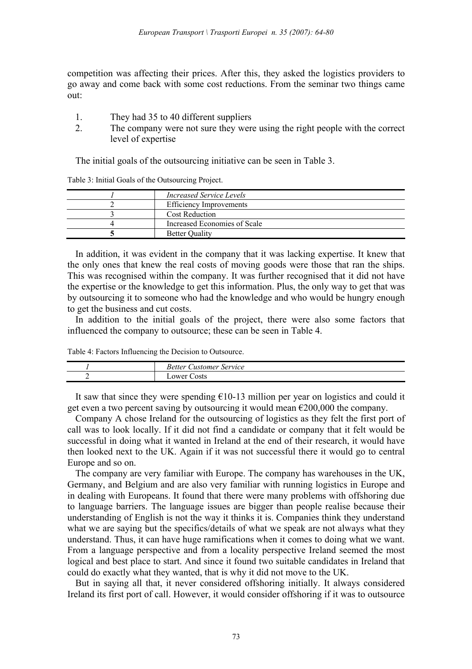competition was affecting their prices. After this, they asked the logistics providers to go away and come back with some cost reductions. From the seminar two things came out:

- 1. They had 35 to 40 different suppliers
- 2. The company were not sure they were using the right people with the correct level of expertise

The initial goals of the outsourcing initiative can be seen in Table 3.

| <i>Increased Service Levels</i> |
|---------------------------------|
| <b>Efficiency Improvements</b>  |
| <b>Cost Reduction</b>           |
| Increased Economies of Scale    |
| <b>Better Quality</b>           |

Table 3: Initial Goals of the Outsourcing Project.

In addition, it was evident in the company that it was lacking expertise. It knew that the only ones that knew the real costs of moving goods were those that ran the ships. This was recognised within the company. It was further recognised that it did not have the expertise or the knowledge to get this information. Plus, the only way to get that was by outsourcing it to someone who had the knowledge and who would be hungry enough to get the business and cut costs.

In addition to the initial goals of the project, there were also some factors that influenced the company to outsource; these can be seen in Table 4.

Table 4: Factors Influencing the Decision to Outsource.

|   | Service<br>ustomer_<br>Better |
|---|-------------------------------|
| - | Costs<br>ower                 |

It saw that since they were spending  $\epsilon$ 10-13 million per year on logistics and could it get even a two percent saving by outsourcing it would mean  $\epsilon$ 200,000 the company.

Company A chose Ireland for the outsourcing of logistics as they felt the first port of call was to look locally. If it did not find a candidate or company that it felt would be successful in doing what it wanted in Ireland at the end of their research, it would have then looked next to the UK. Again if it was not successful there it would go to central Europe and so on.

The company are very familiar with Europe. The company has warehouses in the UK, Germany, and Belgium and are also very familiar with running logistics in Europe and in dealing with Europeans. It found that there were many problems with offshoring due to language barriers. The language issues are bigger than people realise because their understanding of English is not the way it thinks it is. Companies think they understand what we are saying but the specifics/details of what we speak are not always what they understand. Thus, it can have huge ramifications when it comes to doing what we want. From a language perspective and from a locality perspective Ireland seemed the most logical and best place to start. And since it found two suitable candidates in Ireland that could do exactly what they wanted, that is why it did not move to the UK.

But in saying all that, it never considered offshoring initially. It always considered Ireland its first port of call. However, it would consider offshoring if it was to outsource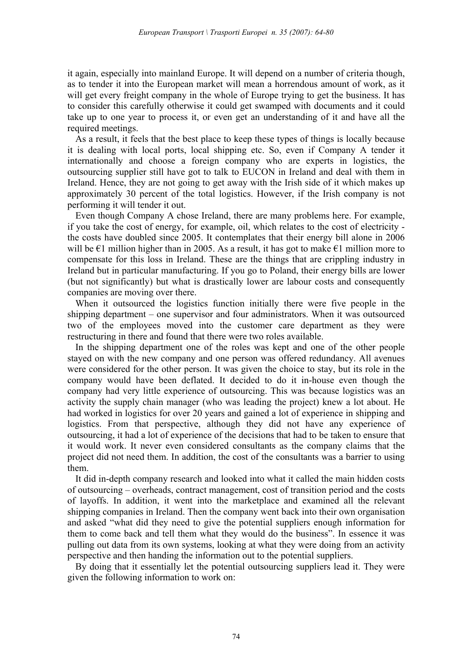it again, especially into mainland Europe. It will depend on a number of criteria though, as to tender it into the European market will mean a horrendous amount of work, as it will get every freight company in the whole of Europe trying to get the business. It has to consider this carefully otherwise it could get swamped with documents and it could take up to one year to process it, or even get an understanding of it and have all the required meetings.

As a result, it feels that the best place to keep these types of things is locally because it is dealing with local ports, local shipping etc. So, even if Company A tender it internationally and choose a foreign company who are experts in logistics, the outsourcing supplier still have got to talk to EUCON in Ireland and deal with them in Ireland. Hence, they are not going to get away with the Irish side of it which makes up approximately 30 percent of the total logistics. However, if the Irish company is not performing it will tender it out.

Even though Company A chose Ireland, there are many problems here. For example, if you take the cost of energy, for example, oil, which relates to the cost of electricity the costs have doubled since 2005. It contemplates that their energy bill alone in 2006 will be  $\epsilon$ 1 million higher than in 2005. As a result, it has got to make  $\epsilon$ 1 million more to compensate for this loss in Ireland. These are the things that are crippling industry in Ireland but in particular manufacturing. If you go to Poland, their energy bills are lower (but not significantly) but what is drastically lower are labour costs and consequently companies are moving over there.

When it outsourced the logistics function initially there were five people in the shipping department – one supervisor and four administrators. When it was outsourced two of the employees moved into the customer care department as they were restructuring in there and found that there were two roles available.

In the shipping department one of the roles was kept and one of the other people stayed on with the new company and one person was offered redundancy. All avenues were considered for the other person. It was given the choice to stay, but its role in the company would have been deflated. It decided to do it in-house even though the company had very little experience of outsourcing. This was because logistics was an activity the supply chain manager (who was leading the project) knew a lot about. He had worked in logistics for over 20 years and gained a lot of experience in shipping and logistics. From that perspective, although they did not have any experience of outsourcing, it had a lot of experience of the decisions that had to be taken to ensure that it would work. It never even considered consultants as the company claims that the project did not need them. In addition, the cost of the consultants was a barrier to using them.

It did in-depth company research and looked into what it called the main hidden costs of outsourcing – overheads, contract management, cost of transition period and the costs of layoffs. In addition, it went into the marketplace and examined all the relevant shipping companies in Ireland. Then the company went back into their own organisation and asked "what did they need to give the potential suppliers enough information for them to come back and tell them what they would do the business". In essence it was pulling out data from its own systems, looking at what they were doing from an activity perspective and then handing the information out to the potential suppliers.

By doing that it essentially let the potential outsourcing suppliers lead it. They were given the following information to work on: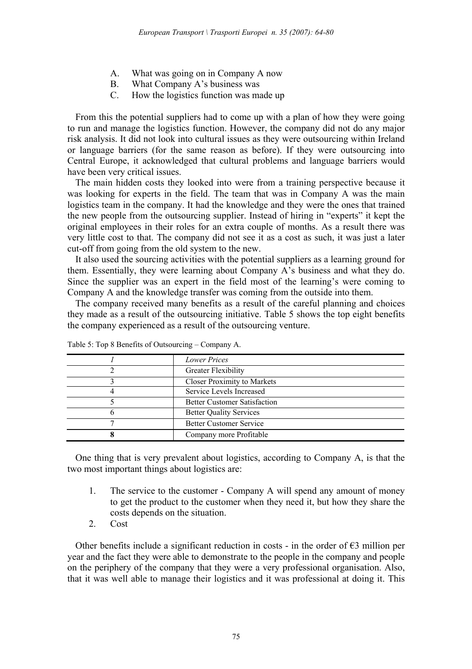- A. What was going on in Company A now
- B. What Company A's business was
- C. How the logistics function was made up

From this the potential suppliers had to come up with a plan of how they were going to run and manage the logistics function. However, the company did not do any major risk analysis. It did not look into cultural issues as they were outsourcing within Ireland or language barriers (for the same reason as before). If they were outsourcing into Central Europe, it acknowledged that cultural problems and language barriers would have been very critical issues.

The main hidden costs they looked into were from a training perspective because it was looking for experts in the field. The team that was in Company A was the main logistics team in the company. It had the knowledge and they were the ones that trained the new people from the outsourcing supplier. Instead of hiring in "experts" it kept the original employees in their roles for an extra couple of months. As a result there was very little cost to that. The company did not see it as a cost as such, it was just a later cut-off from going from the old system to the new.

It also used the sourcing activities with the potential suppliers as a learning ground for them. Essentially, they were learning about Company A's business and what they do. Since the supplier was an expert in the field most of the learning's were coming to Company A and the knowledge transfer was coming from the outside into them.

The company received many benefits as a result of the careful planning and choices they made as a result of the outsourcing initiative. Table 5 shows the top eight benefits the company experienced as a result of the outsourcing venture.

| <b>Lower Prices</b>                 |
|-------------------------------------|
|                                     |
| Greater Flexibility                 |
| <b>Closer Proximity to Markets</b>  |
| Service Levels Increased            |
| <b>Better Customer Satisfaction</b> |
| <b>Better Quality Services</b>      |
| <b>Better Customer Service</b>      |
| Company more Profitable             |

Table 5: Top 8 Benefits of Outsourcing – Company A.

One thing that is very prevalent about logistics, according to Company A, is that the two most important things about logistics are:

- 1. The service to the customer Company A will spend any amount of money to get the product to the customer when they need it, but how they share the costs depends on the situation.
- 2. Cost

Other benefits include a significant reduction in costs - in the order of  $\epsilon$ 3 million per year and the fact they were able to demonstrate to the people in the company and people on the periphery of the company that they were a very professional organisation. Also, that it was well able to manage their logistics and it was professional at doing it. This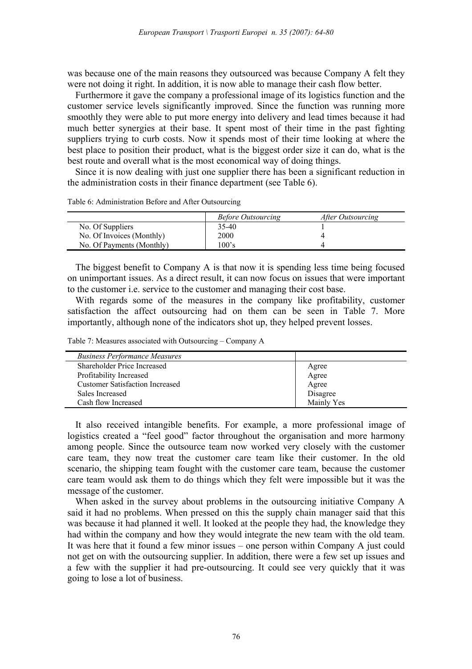was because one of the main reasons they outsourced was because Company A felt they were not doing it right. In addition, it is now able to manage their cash flow better.

Furthermore it gave the company a professional image of its logistics function and the customer service levels significantly improved. Since the function was running more smoothly they were able to put more energy into delivery and lead times because it had much better synergies at their base. It spent most of their time in the past fighting suppliers trying to curb costs. Now it spends most of their time looking at where the best place to position their product, what is the biggest order size it can do, what is the best route and overall what is the most economical way of doing things.

Since it is now dealing with just one supplier there has been a significant reduction in the administration costs in their finance department (see Table 6).

Table 6: Administration Before and After Outsourcing

|                           | <i>Before Outsourcing</i> | After Outsourcing |  |
|---------------------------|---------------------------|-------------------|--|
| No. Of Suppliers          | 35-40                     |                   |  |
| No. Of Invoices (Monthly) | 2000                      |                   |  |
| No. Of Payments (Monthly) | 100's                     |                   |  |

The biggest benefit to Company A is that now it is spending less time being focused on unimportant issues. As a direct result, it can now focus on issues that were important to the customer i.e. service to the customer and managing their cost base.

With regards some of the measures in the company like profitability, customer satisfaction the affect outsourcing had on them can be seen in Table 7. More importantly, although none of the indicators shot up, they helped prevent losses.

Table 7: Measures associated with Outsourcing – Company A

| <b>Business Performance Measures</b>   |            |
|----------------------------------------|------------|
| Shareholder Price Increased            | Agree      |
| Profitability Increased                | Agree      |
| <b>Customer Satisfaction Increased</b> | Agree      |
| Sales Increased                        | Disagree   |
| Cash flow Increased                    | Mainly Yes |

It also received intangible benefits. For example, a more professional image of logistics created a "feel good" factor throughout the organisation and more harmony among people. Since the outsource team now worked very closely with the customer care team, they now treat the customer care team like their customer. In the old scenario, the shipping team fought with the customer care team, because the customer care team would ask them to do things which they felt were impossible but it was the message of the customer.

When asked in the survey about problems in the outsourcing initiative Company A said it had no problems. When pressed on this the supply chain manager said that this was because it had planned it well. It looked at the people they had, the knowledge they had within the company and how they would integrate the new team with the old team. It was here that it found a few minor issues – one person within Company A just could not get on with the outsourcing supplier. In addition, there were a few set up issues and a few with the supplier it had pre-outsourcing. It could see very quickly that it was going to lose a lot of business.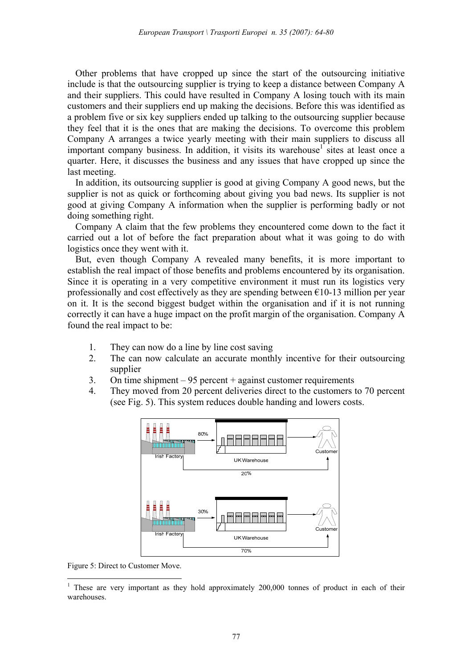Other problems that have cropped up since the start of the outsourcing initiative include is that the outsourcing supplier is trying to keep a distance between Company A and their suppliers. This could have resulted in Company A losing touch with its main customers and their suppliers end up making the decisions. Before this was identified as a problem five or six key suppliers ended up talking to the outsourcing supplier because they feel that it is the ones that are making the decisions. To overcome this problem Company A arranges a twice yearly meeting with their main suppliers to discuss all important company business. In addition, it visits its warehouse<sup>1</sup> sites at least once a quarter. Here, it discusses the business and any issues that have cropped up since the last meeting.

In addition, its outsourcing supplier is good at giving Company A good news, but the supplier is not as quick or forthcoming about giving you bad news. Its supplier is not good at giving Company A information when the supplier is performing badly or not doing something right.

Company A claim that the few problems they encountered come down to the fact it carried out a lot of before the fact preparation about what it was going to do with logistics once they went with it.

But, even though Company A revealed many benefits, it is more important to establish the real impact of those benefits and problems encountered by its organisation. Since it is operating in a very competitive environment it must run its logistics very professionally and cost effectively as they are spending between  $\epsilon$ 10-13 million per year on it. It is the second biggest budget within the organisation and if it is not running correctly it can have a huge impact on the profit margin of the organisation. Company A found the real impact to be:

- 1. They can now do a line by line cost saving
- 2. The can now calculate an accurate monthly incentive for their outsourcing supplier
- 3. On time shipment 95 percent + against customer requirements
- 4. They moved from 20 percent deliveries direct to the customers to 70 percent (see Fig. 5). This system reduces double handing and lowers costs.



Figure 5: Direct to Customer Move.

 $\overline{a}$ 

<sup>&</sup>lt;sup>1</sup> These are very important as they hold approximately 200,000 tonnes of product in each of their warehouses.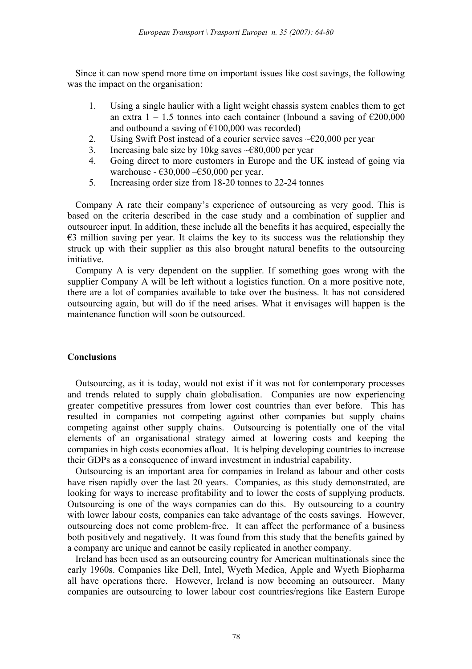Since it can now spend more time on important issues like cost savings, the following was the impact on the organisation:

- 1. Using a single haulier with a light weight chassis system enables them to get an extra  $1 - 1.5$  tonnes into each container (Inbound a saving of  $\epsilon$ 200,000 and outbound a saving of  $£100,000$  was recorded)
- 2. Using Swift Post instead of a courier service saves  $\text{-} \text{\textsterling}20,000$  per year
- 3. Increasing bale size by 10kg saves  $\sim \epsilon$ 80,000 per year
- 4. Going direct to more customers in Europe and the UK instead of going via warehouse -  $\epsilon$ 30,000 – $\epsilon$ 50,000 per year.
- 5. Increasing order size from 18-20 tonnes to 22-24 tonnes

Company A rate their company's experience of outsourcing as very good. This is based on the criteria described in the case study and a combination of supplier and outsourcer input. In addition, these include all the benefits it has acquired, especially the  $\epsilon$ 3 million saving per year. It claims the key to its success was the relationship they struck up with their supplier as this also brought natural benefits to the outsourcing initiative.

Company A is very dependent on the supplier. If something goes wrong with the supplier Company A will be left without a logistics function. On a more positive note, there are a lot of companies available to take over the business. It has not considered outsourcing again, but will do if the need arises. What it envisages will happen is the maintenance function will soon be outsourced.

# **Conclusions**

Outsourcing, as it is today, would not exist if it was not for contemporary processes and trends related to supply chain globalisation. Companies are now experiencing greater competitive pressures from lower cost countries than ever before. This has resulted in companies not competing against other companies but supply chains competing against other supply chains. Outsourcing is potentially one of the vital elements of an organisational strategy aimed at lowering costs and keeping the companies in high costs economies afloat. It is helping developing countries to increase their GDPs as a consequence of inward investment in industrial capability.

Outsourcing is an important area for companies in Ireland as labour and other costs have risen rapidly over the last 20 years. Companies, as this study demonstrated, are looking for ways to increase profitability and to lower the costs of supplying products. Outsourcing is one of the ways companies can do this. By outsourcing to a country with lower labour costs, companies can take advantage of the costs savings. However, outsourcing does not come problem-free. It can affect the performance of a business both positively and negatively. It was found from this study that the benefits gained by a company are unique and cannot be easily replicated in another company.

Ireland has been used as an outsourcing country for American multinationals since the early 1960s. Companies like Dell, Intel, Wyeth Medica, Apple and Wyeth Biopharma all have operations there. However, Ireland is now becoming an outsourcer. Many companies are outsourcing to lower labour cost countries/regions like Eastern Europe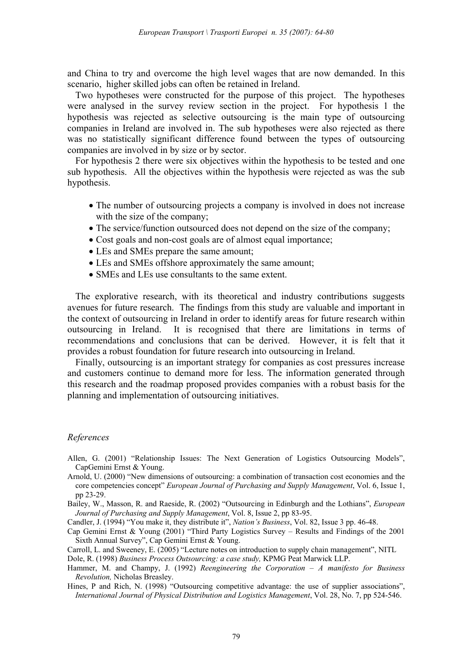and China to try and overcome the high level wages that are now demanded. In this scenario, higher skilled jobs can often be retained in Ireland.

Two hypotheses were constructed for the purpose of this project. The hypotheses were analysed in the survey review section in the project. For hypothesis 1 the hypothesis was rejected as selective outsourcing is the main type of outsourcing companies in Ireland are involved in. The sub hypotheses were also rejected as there was no statistically significant difference found between the types of outsourcing companies are involved in by size or by sector.

For hypothesis 2 there were six objectives within the hypothesis to be tested and one sub hypothesis. All the objectives within the hypothesis were rejected as was the sub hypothesis.

- The number of outsourcing projects a company is involved in does not increase with the size of the company;
- The service/function outsourced does not depend on the size of the company;
- Cost goals and non-cost goals are of almost equal importance;
- LEs and SMEs prepare the same amount;
- LEs and SMEs offshore approximately the same amount;
- SMEs and LEs use consultants to the same extent.

The explorative research, with its theoretical and industry contributions suggests avenues for future research. The findings from this study are valuable and important in the context of outsourcing in Ireland in order to identify areas for future research within outsourcing in Ireland. It is recognised that there are limitations in terms of recommendations and conclusions that can be derived. However, it is felt that it provides a robust foundation for future research into outsourcing in Ireland.

Finally, outsourcing is an important strategy for companies as cost pressures increase and customers continue to demand more for less. The information generated through this research and the roadmap proposed provides companies with a robust basis for the planning and implementation of outsourcing initiatives.

## *References*

- Allen, G. (2001) "Relationship Issues: The Next Generation of Logistics Outsourcing Models", CapGemini Ernst & Young.
- Arnold, U. (2000) "New dimensions of outsourcing: a combination of transaction cost economies and the core competencies concept" *European Journal of Purchasing and Supply Management*, Vol. 6, Issue 1, pp 23-29.
- Bailey, W., Masson, R. and Raeside, R. (2002) "Outsourcing in Edinburgh and the Lothians", *European Journal of Purchasing and Supply Management*, Vol. 8, Issue 2, pp 83-95.

Candler, J. (1994) "You make it, they distribute it", *Nation's Business*, Vol. 82, Issue 3 pp. 46-48.

- Cap Gemini Ernst & Young (2001) "Third Party Logistics Survey Results and Findings of the 2001 Sixth Annual Survey", Cap Gemini Ernst & Young.
- Carroll, L. and Sweeney, E. (2005) "Lecture notes on introduction to supply chain management", NITL

Dole, R. (1998) *Business Process Outsourcing: a case study,* KPMG Peat Marwick LLP.

- Hammer, M. and Champy, J. (1992) *Reengineering the Corporation A manifesto for Business Revolution,* Nicholas Breasley.
- Hines, P and Rich, N. (1998) "Outsourcing competitive advantage: the use of supplier associations", *International Journal of Physical Distribution and Logistics Management*, Vol. 28, No. 7, pp 524-546.